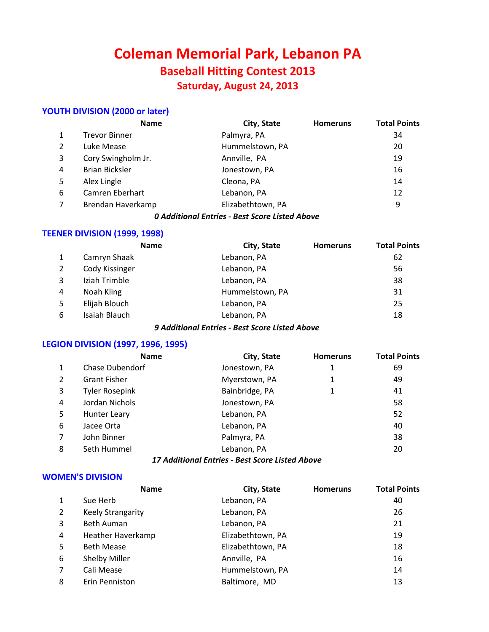# **Coleman Memorial Park, Lebanon PA Baseball Hitting Contest 2013 Saturday, August 24, 2013**

# **YOUTH DIVISION (2000 or later)**

|   | <b>Name</b>           | City, State       | <b>Homeruns</b> | <b>Total Points</b> |
|---|-----------------------|-------------------|-----------------|---------------------|
|   | <b>Trevor Binner</b>  | Palmyra, PA       |                 | 34                  |
| 2 | Luke Mease            | Hummelstown, PA   |                 | 20                  |
| 3 | Cory Swingholm Jr.    | Annville, PA      |                 | 19                  |
| 4 | <b>Brian Bicksler</b> | Jonestown, PA     |                 | 16                  |
| 5 | Alex Lingle           | Cleona, PA        |                 | 14                  |
| 6 | Camren Eberhart       | Lebanon, PA       |                 | 12                  |
|   | Brendan Haverkamp     | Elizabethtown, PA |                 | 9                   |

#### *0 Additional Entries - Best Score Listed Above*

#### **TEENER DIVISION (1999, 1998)**

|   | <b>Name</b>    | City, State     | <b>Homeruns</b> | <b>Total Points</b> |
|---|----------------|-----------------|-----------------|---------------------|
|   | Camryn Shaak   | Lebanon, PA     |                 | 62                  |
| 2 | Cody Kissinger | Lebanon, PA     |                 | 56                  |
| 3 | Iziah Trimble  | Lebanon, PA     |                 | 38                  |
| 4 | Noah Kling     | Hummelstown, PA |                 | 31                  |
| 5 | Elijah Blouch  | Lebanon, PA     |                 | 25                  |
| 6 | Isaiah Blauch  | Lebanon, PA     |                 | 18                  |

### *9 Additional Entries - Best Score Listed Above*

# **LEGION DIVISION (1997, 1996, 1995)**

|                | <b>Name</b>            | City, State                                     | <b>Homeruns</b> | <b>Total Points</b> |
|----------------|------------------------|-------------------------------------------------|-----------------|---------------------|
| 1              | <b>Chase Dubendorf</b> | Jonestown, PA                                   | 1               | 69                  |
| $\overline{2}$ | <b>Grant Fisher</b>    | Myerstown, PA                                   |                 | 49                  |
| 3              | <b>Tyler Rosepink</b>  | Bainbridge, PA                                  |                 | 41                  |
| 4              | Jordan Nichols         | Jonestown, PA                                   |                 | 58                  |
| 5              | Hunter Leary           | Lebanon, PA                                     |                 | 52                  |
| 6              | Jacee Orta             | Lebanon, PA                                     |                 | 40                  |
|                | John Binner            | Palmyra, PA                                     |                 | 38                  |
| 8              | Seth Hummel            | Lebanon, PA                                     |                 | 20                  |
|                |                        | 17 Additional Entries - Best Score Listed Above |                 |                     |

#### **WOMEN'S DIVISION**

|                | <b>Name</b>              | City, State       | <b>Homeruns</b> | <b>Total Points</b> |
|----------------|--------------------------|-------------------|-----------------|---------------------|
|                | Sue Herb                 | Lebanon, PA       |                 | 40                  |
| $\overline{2}$ | <b>Keely Strangarity</b> | Lebanon, PA       |                 | 26                  |
| 3              | Beth Auman               | Lebanon, PA       |                 | 21                  |
| 4              | Heather Haverkamp        | Elizabethtown, PA |                 | 19                  |
| 5              | <b>Beth Mease</b>        | Elizabethtown, PA |                 | 18                  |
| 6              | Shelby Miller            | Annville, PA      |                 | 16                  |
|                | Cali Mease               | Hummelstown, PA   |                 | 14                  |
| 8              | Erin Penniston           | Baltimore, MD     |                 | 13                  |